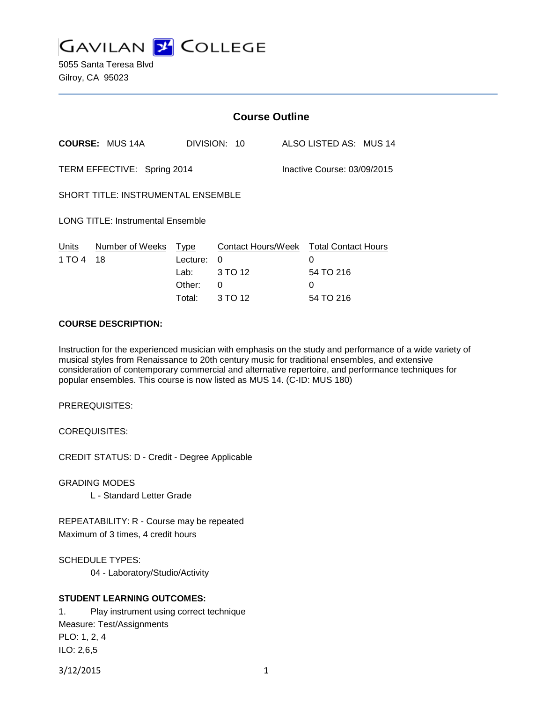

5055 Santa Teresa Blvd Gilroy, CA 95023

|                                           |                        | <b>Course Outline</b>                        |                                                                        |                             |                                  |  |
|-------------------------------------------|------------------------|----------------------------------------------|------------------------------------------------------------------------|-----------------------------|----------------------------------|--|
|                                           | <b>COURSE: MUS 14A</b> |                                              | DIVISION: 10                                                           |                             | ALSO LISTED AS: MUS 14           |  |
| TERM EFFECTIVE: Spring 2014               |                        |                                              |                                                                        | Inactive Course: 03/09/2015 |                                  |  |
| <b>SHORT TITLE: INSTRUMENTAL ENSEMBLE</b> |                        |                                              |                                                                        |                             |                                  |  |
| LONG TITLE: Instrumental Ensemble         |                        |                                              |                                                                        |                             |                                  |  |
| Units<br>1 TO 4                           | Number of Weeks<br>18  | Type<br>Lecture:<br>Lab:<br>Other:<br>Total: | Contact Hours/Week Total Contact Hours<br>0<br>3 TO 12<br>0<br>3 TO 12 |                             | 0<br>54 TO 216<br>0<br>54 TO 216 |  |

## **COURSE DESCRIPTION:**

Instruction for the experienced musician with emphasis on the study and performance of a wide variety of musical styles from Renaissance to 20th century music for traditional ensembles, and extensive consideration of contemporary commercial and alternative repertoire, and performance techniques for popular ensembles. This course is now listed as MUS 14. (C-ID: MUS 180)

PREREQUISITES:

COREQUISITES:

CREDIT STATUS: D - Credit - Degree Applicable

GRADING MODES

L - Standard Letter Grade

REPEATABILITY: R - Course may be repeated Maximum of 3 times, 4 credit hours

SCHEDULE TYPES:

04 - Laboratory/Studio/Activity

## **STUDENT LEARNING OUTCOMES:**

1. Play instrument using correct technique Measure: Test/Assignments PLO: 1, 2, 4 ILO: 2,6,5

3/12/2015 1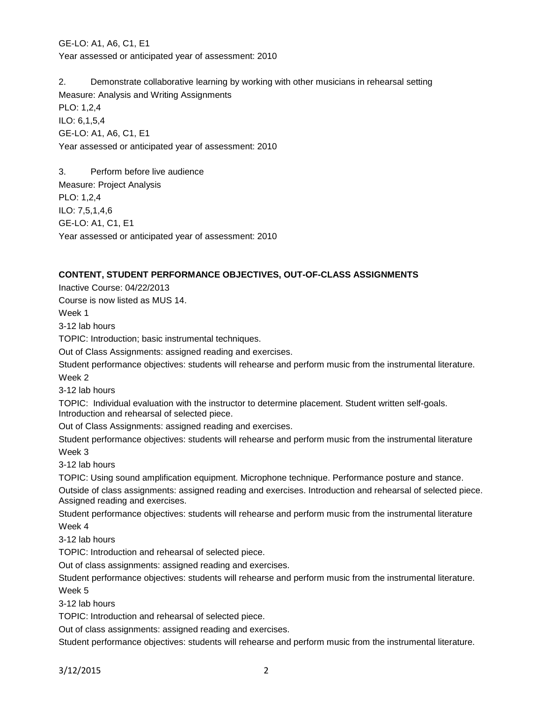GE-LO: A1, A6, C1, E1 Year assessed or anticipated year of assessment: 2010

2. Demonstrate collaborative learning by working with other musicians in rehearsal setting Measure: Analysis and Writing Assignments

PLO: 1,2,4 ILO: 6,1,5,4 GE-LO: A1, A6, C1, E1 Year assessed or anticipated year of assessment: 2010

3. Perform before live audience Measure: Project Analysis PLO: 1,2,4 ILO: 7,5,1,4,6 GE-LO: A1, C1, E1 Year assessed or anticipated year of assessment: 2010

# **CONTENT, STUDENT PERFORMANCE OBJECTIVES, OUT-OF-CLASS ASSIGNMENTS**

Inactive Course: 04/22/2013 Course is now listed as MUS 14.

Week 1

3-12 lab hours

TOPIC: Introduction; basic instrumental techniques.

Out of Class Assignments: assigned reading and exercises.

Student performance objectives: students will rehearse and perform music from the instrumental literature. Week 2

3-12 lab hours

TOPIC: Individual evaluation with the instructor to determine placement. Student written self-goals. Introduction and rehearsal of selected piece.

Out of Class Assignments: assigned reading and exercises.

Student performance objectives: students will rehearse and perform music from the instrumental literature Week 3

3-12 lab hours

TOPIC: Using sound amplification equipment. Microphone technique. Performance posture and stance.

Outside of class assignments: assigned reading and exercises. Introduction and rehearsal of selected piece. Assigned reading and exercises.

Student performance objectives: students will rehearse and perform music from the instrumental literature Week 4

3-12 lab hours

TOPIC: Introduction and rehearsal of selected piece.

Out of class assignments: assigned reading and exercises.

Student performance objectives: students will rehearse and perform music from the instrumental literature. Week 5

3-12 lab hours

TOPIC: Introduction and rehearsal of selected piece.

Out of class assignments: assigned reading and exercises.

Student performance objectives: students will rehearse and perform music from the instrumental literature.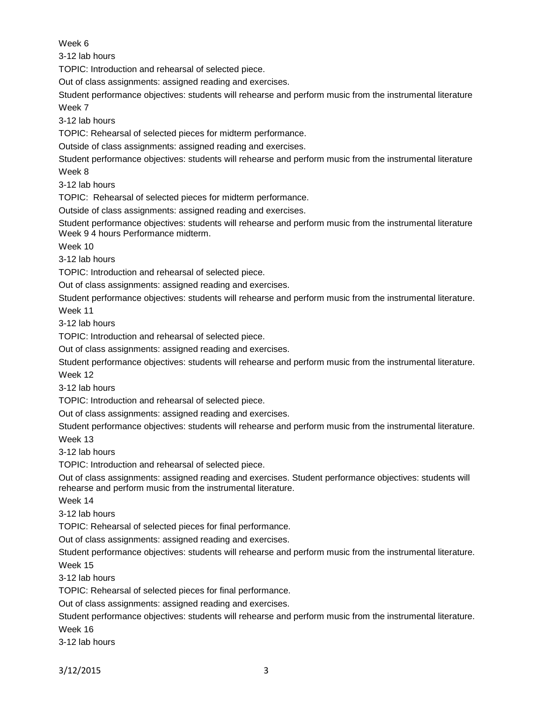Week 6

3-12 lab hours

TOPIC: Introduction and rehearsal of selected piece.

Out of class assignments: assigned reading and exercises.

Student performance objectives: students will rehearse and perform music from the instrumental literature Week 7

3-12 lab hours

TOPIC: Rehearsal of selected pieces for midterm performance.

Outside of class assignments: assigned reading and exercises.

Student performance objectives: students will rehearse and perform music from the instrumental literature Week 8

3-12 lab hours

TOPIC: Rehearsal of selected pieces for midterm performance.

Outside of class assignments: assigned reading and exercises.

Student performance objectives: students will rehearse and perform music from the instrumental literature Week 9 4 hours Performance midterm.

Week 10

3-12 lab hours

TOPIC: Introduction and rehearsal of selected piece.

Out of class assignments: assigned reading and exercises.

Student performance objectives: students will rehearse and perform music from the instrumental literature. Week 11

3-12 lab hours

TOPIC: Introduction and rehearsal of selected piece.

Out of class assignments: assigned reading and exercises.

Student performance objectives: students will rehearse and perform music from the instrumental literature.

Week 12

3-12 lab hours

TOPIC: Introduction and rehearsal of selected piece.

Out of class assignments: assigned reading and exercises.

Student performance objectives: students will rehearse and perform music from the instrumental literature. Week 13

3-12 lab hours

TOPIC: Introduction and rehearsal of selected piece.

Out of class assignments: assigned reading and exercises. Student performance objectives: students will rehearse and perform music from the instrumental literature.

Week 14

3-12 lab hours

TOPIC: Rehearsal of selected pieces for final performance.

Out of class assignments: assigned reading and exercises.

Student performance objectives: students will rehearse and perform music from the instrumental literature.

Week 15

3-12 lab hours

TOPIC: Rehearsal of selected pieces for final performance.

Out of class assignments: assigned reading and exercises.

Student performance objectives: students will rehearse and perform music from the instrumental literature. Week 16

3-12 lab hours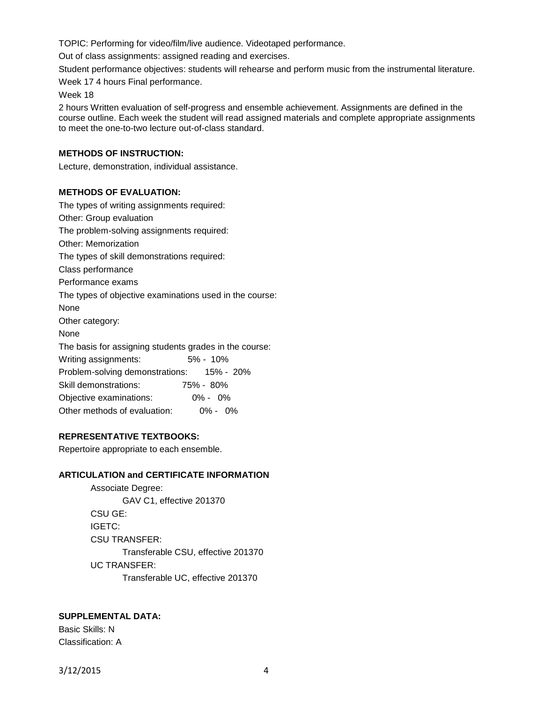TOPIC: Performing for video/film/live audience. Videotaped performance.

Out of class assignments: assigned reading and exercises.

Student performance objectives: students will rehearse and perform music from the instrumental literature.

Week 17 4 hours Final performance.

Week 18

2 hours Written evaluation of self-progress and ensemble achievement. Assignments are defined in the course outline. Each week the student will read assigned materials and complete appropriate assignments to meet the one-to-two lecture out-of-class standard.

## **METHODS OF INSTRUCTION:**

Lecture, demonstration, individual assistance.

### **METHODS OF EVALUATION:**

The types of writing assignments required: Other: Group evaluation The problem-solving assignments required: Other: Memorization The types of skill demonstrations required: Class performance Performance exams The types of objective examinations used in the course: None Other category: None The basis for assigning students grades in the course: Writing assignments: 5% - 10% Problem-solving demonstrations: 15% - 20% Skill demonstrations: 75% - 80% Objective examinations: 0% - 0% Other methods of evaluation: 0% - 0%

## **REPRESENTATIVE TEXTBOOKS:**

Repertoire appropriate to each ensemble.

#### **ARTICULATION and CERTIFICATE INFORMATION**

Associate Degree: GAV C1, effective 201370 CSU GE: IGETC: CSU TRANSFER: Transferable CSU, effective 201370 UC TRANSFER: Transferable UC, effective 201370

# **SUPPLEMENTAL DATA:**

Basic Skills: N Classification: A

3/12/2015 4